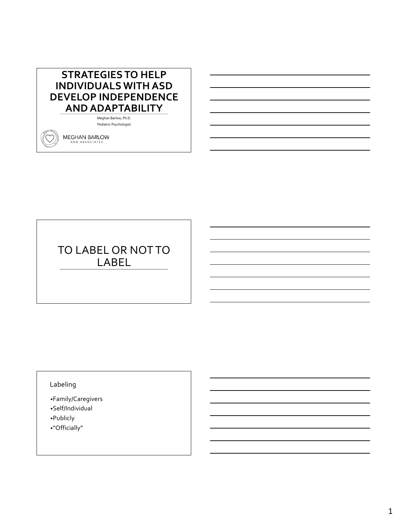# **STRATEGIES TO HELP INDIVIDUALS WITH ASD DEVELOP INDEPENDENCE AND ADAPTABILITY**

Meghan Barlow, Ph.D. Pediatric Psychologist

**MEGHAN BARLOW** AND ASSOCIATES

# TO LABEL OR NOT TO LABEL

## Labeling

•Family/Caregivers

- •Self/Individual
- •Publicly
- •"Officially"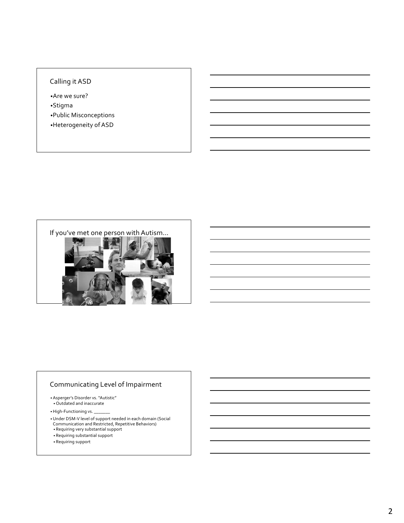### Calling it ASD

•Are we sure? •Stigma

•Public Misconceptions

•Heterogeneity of ASD



### Communicating Level of Impairment

• Asperger's Disorder vs. "Autistic" • Outdated and inaccurate

• High-Functioning vs.

- •Under DSM-V level of support needed in each domain (Social Communication and Restricted, Repetitive Behaviors)
- Requiring very substantial support
- Requiring substantial support
- Requiring support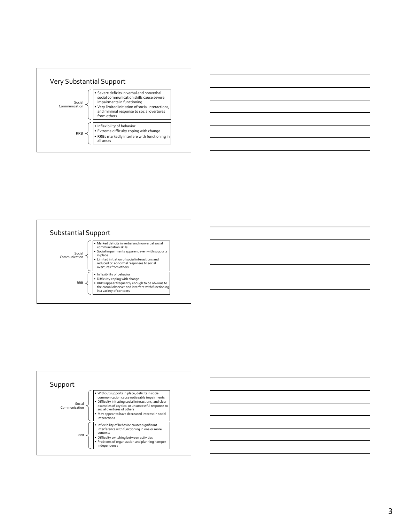







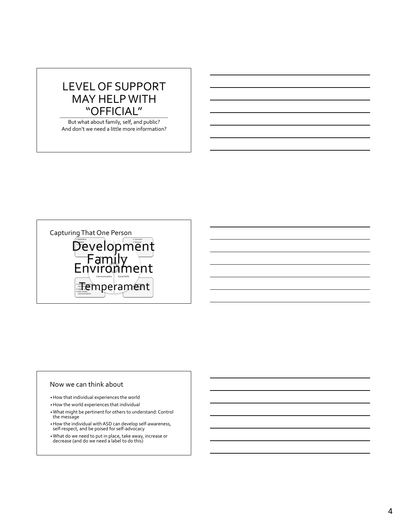# LEVEL OF SUPPORT MAY HELP WITH "OFFICIAL"

But what about family, self, and public? And don't we need a little more information?



#### Now we can think about

•How that individual experiences the world

•How the world experiences that individual

- •What might be pertinent for others to understand: Control the message
- •How the individual with ASD can develop self-awareness, self-respect, and be poised for self-advocacy

•What do we need to put in place, take away, increase or decrease (and do we need a label to do this)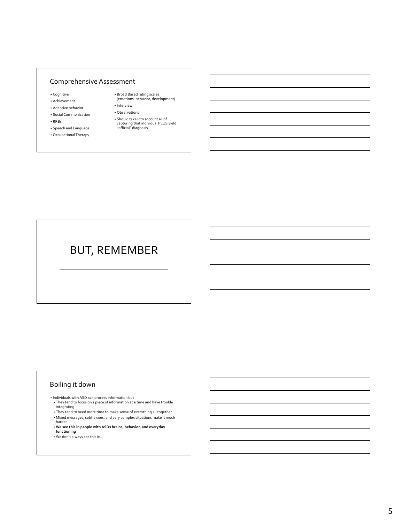#### Comprehensive Assessment

- Cognitive
- Achievement
- Adaptive behavior
- Social Communication • RRBs
- 
- Speech and Language • Occupational Therapy
- Broad Based rating scales (emotions, behavior, development)
- Interview • Observations
- Should take into account all of
- capturing that individual PLUS yield "official" diagnosis

# BUT, REMEMBER

### Boiling it down

- Individuals with ASD *can* process information but
- They tend to focus on 1 piece of information at a time and have trouble integrating • They tend to need more time to make sense of everything all together
- Mixed messages, subtle cues, and very complex situations make it much harder
- **We see this in people with ASDs brains, behavior, and everyday functioning**
- We don't always see this in…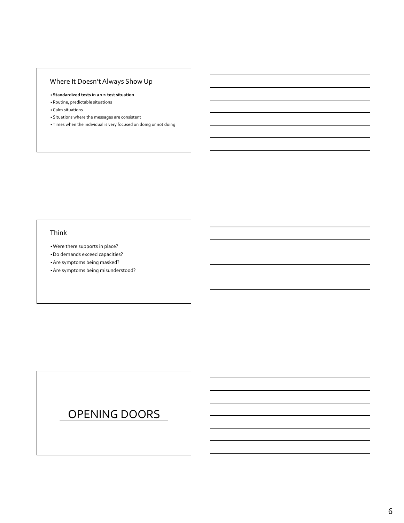## Where It Doesn't Always Show Up

- **Standardized tests in a 1:1 test situation**
- Routine, predictable situations
- Calm situations
- Situations where the messages are consistent
- Times when the individual is very focused on doing or not doing

### Think

- •Were there supports in place?
- •Do demands exceed capacities?
- •Are symptoms being masked?
- •Are symptoms being misunderstood?

# OPENING DOORS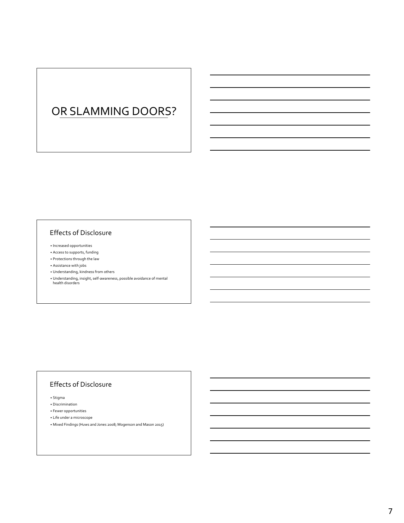# OR SLAMMING DOORS?

### Effects of Disclosure

- Increased opportunities
- Access to supports, funding
- Protections through the law
- Assistance with jobs
- Understanding, kindness from others
- Understanding, insight, self-awareness, possible avoidance of mental health disorders

#### Effects of Disclosure

• Stigma

- Discrimination
- Fewer opportunities
- Life under a microscope
- Mixed Findings (Huws and Jones 2008; Mogenson and Mason 2015)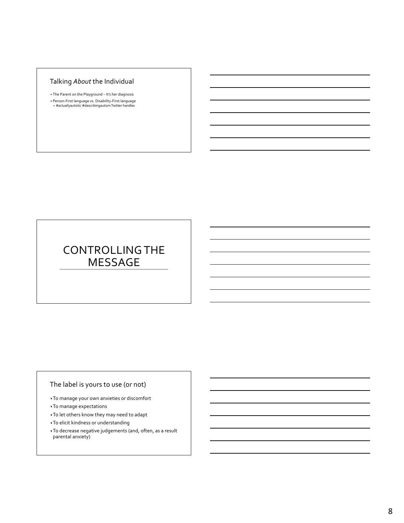### Talking *About* the Individual

- The Parent on the Playground It's her diagnosis
- Person-First language vs. Disability-First language #actuallyautistic #describingautismTwitter handles

# CONTROLLING THE MESSAGE

### The label is yours to use (or not)

- •To manage your own anxieties or discomfort
- •To manage expectations
- •To let others know they may need to adapt
- •To elicit kindness or understanding
- •To decrease negative judgements (and, often, as a result parental anxiety)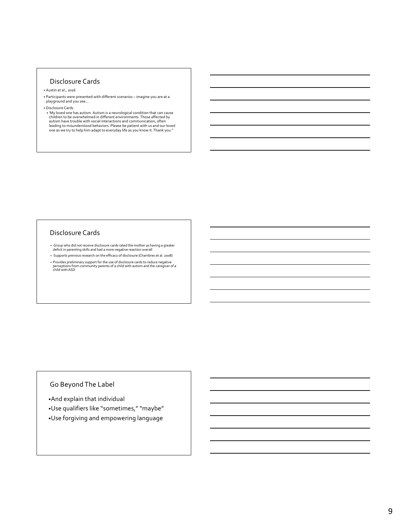#### Disclosure Cards

- Austin et al., 2016
- Participants were presented with different scenarios imagine you are at a playground and you see…
- Disclosure Cards
- 'My loved one has autism. Autism is a neurological condition that can cause children to be overwhelmed in different environments. Those affected by autism have trouble with social interactions and communication, often leading to misunderstood behaviors. Please be patient with us and our loved one as we try to help him adapt to everyday life as you know it. Thank you.''

#### Disclosure Cards

- Group who did not receive disclosure cards rated the mother as having a greater deficit in parenting skills and had a more negative reaction overall
- Supports previous research on the efficacy of disclosure (Chambres et al. 2008)
- Provides preliminary support for the use of disclosure cards to reduce negative perceptions from community parents of a child with autism and the caregiver of a child with ASD

### Go Beyond The Label

- •And explain that individual
- •Use qualifiers like "sometimes," "maybe"
- •Use forgiving and empowering language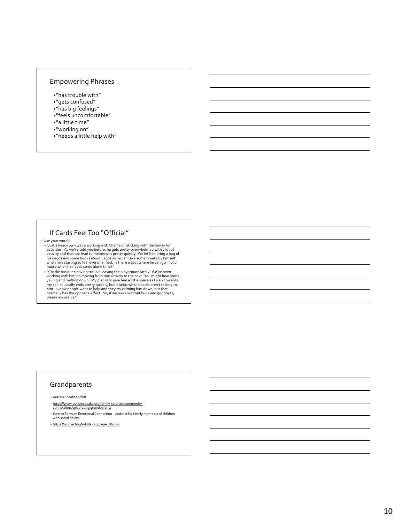# Empowering Phrases

- •"has trouble with"
- •"gets confused"
- •"has big feelings"
- •"feels uncomfortable"
- •"a little time"
- •"working on"
- •"needs a little help with"

### If Cards Feel Too "Official"

• Use your words!

• "Just a heads up – we're working with Charlie on sticking with the family for activities. As we've told you before, he gets pretty overwhelmed with a lot of activity and that can lead to meltdowns pretty quickly. We let

€ "Charlie has been having trouble leaving the playground lately. We've been<br>working with him on moving from one activity to the next. You might hear some<br>yelling and melting down. My plan is to give him a little space a my car. It usually ends pretty quickly, but it helps when people aren't talking to<br>him. I know people want to help and they try calming him down, but that<br>normally has the opposite effect! So, if we leave without hugs and

#### Grandparents

• Autism Speaks toolkit

- https://www.autismspeaks.org/family-services/community-connections/celebrating-grandparents
- How to Form an Emotional Connection podcast for family members of children
- with social delays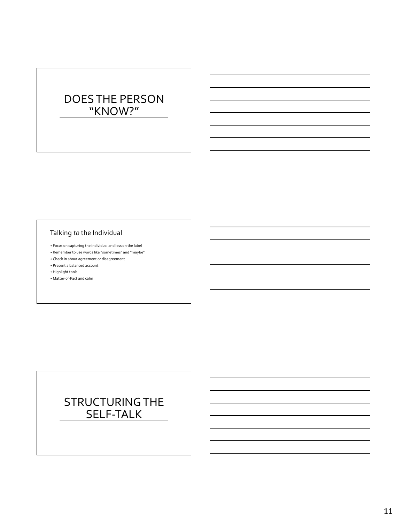# DOES THE PERSON "KNOW?"

### Talking *to* the Individual

- Focus on capturing the individual and less on the label
- Remember to use words like "sometimes" and "maybe"
- Check in about agreement or disagreement
- Present a balanced account
- Highlight tools
- Matter-of-Fact and calm

# STRUCTURING THE SELF-TALK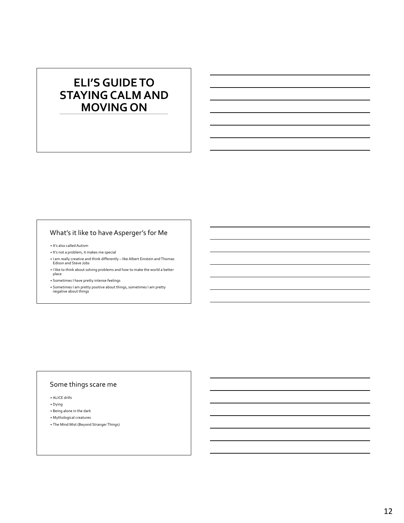# **ELI'S GUIDE TO STAYING CALM AND MOVING ON**

### What's it like to have Asperger's for Me

• It's also called Autism

- It's not a problem, it makes me special
- I am really creative and think differently like Albert Einstein and Thomas
- Edison and Steve Jobs • I like to think about solving problems and how to make the world a better
- r …..<br>place
- Sometimes I have pretty intense feelings
- Sometimes I am pretty positive about things, sometimes I am pretty negative about things

# Some things scare me

• ALICE drills

• Dying

- Being alone in the dark
- Mythological creatures
- The Mind Mist (Beyond Stranger Things)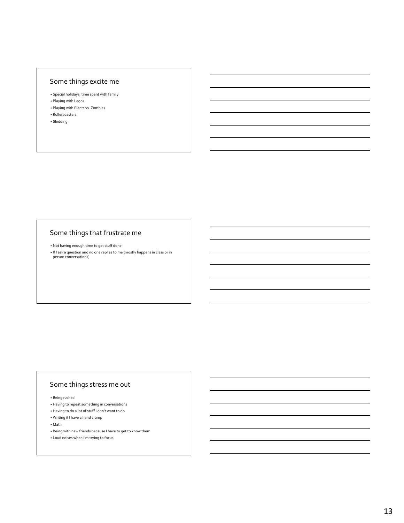### Some things excite me

- Special holidays, time spent with family
- Playing with Legos
- Playing with Plants vs. Zombies • Rollercoasters
- Sledding

### Some things that frustrate me

• Not having enough time to get stuff done • If I ask a question and no one replies to me (mostly happens in class or in person conversations)

#### Some things stress me out

#### • Being rushed

- Having to repeat something in conversations
- Having to do a lot of stuff I don't want to do
- Writing if I have a hand cramp
- Math
- Being with new friends because I have to get to know them
- Loud noises when I'm trying to focus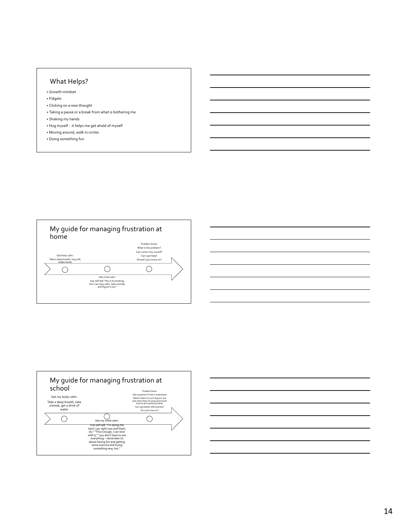#### What Helps?

- Growth mindset
- Fidgets
- Clicking on a new thought
- Taking a pause or a break from what is bothering me
- Shaking my hands
- Hug myself it helps me get ahold of myself
- Moving around, walk in circles
- Doing something fun





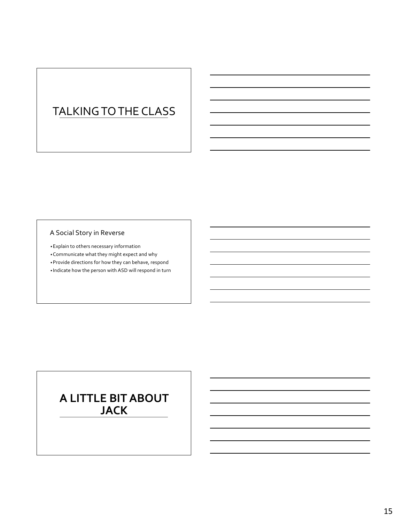# TALKING TO THE CLASS

## A Social Story in Reverse

•Explain to others necessary information •Communicate what they might expect and why •Provide directions for how they can behave, respond

• Indicate how the person with ASD will respond in turn

# **A LITTLE BIT ABOUT JACK**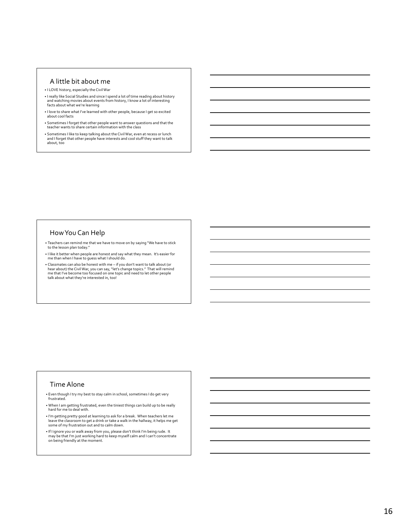#### A little bit about me

- I LOVE history, especially the Civil War
- I really like Social Studies and since I spend a lot of time reading about history and watching movies about events from history, I know a lot of interesting facts about what we're learning
- I love to share what I've learned with other people, because I get so excited about cool facts
- Sometimes I forget that other people want to answer questions and that the teacher wants to share certain information with the class
- Sometimes I like to keep talking about the Civil War, even at recess or lunch and I forget that other people have interests and cool stuff they want to talk about, too

#### How You Can Help

- Teachers can remind me that we have to move on by saying "We have to stick to the lesson plan today."
- I like it better when people are honest and say what they mean. It's easier for me than when I have to guess what I should do.
- Classmates can also be honest with me  $-i$  f you don't want to talk about (or hear about) the Civil War, you can say, "let's change topics." That will remind me that I've become too focused on one topic and need to let o

#### Time Alone

- Even though I try my best to stay calm in school, sometimes I do get very frustrated.
- When I am getting frustrated, even the tiniest things can build up to be really hard for me to deal with.
- I'm getting pretty good at learning to ask for a break. When teachers let me leave the classroom to get a drink or take a walk in the hallway, it helps me get some of my frustration out and to calm down.
- If I ignore you or walk away from you, please don't think I'm being rude. It may be that I'm just working hard to keep myself calm and I can't concentrate on being friendly at the moment.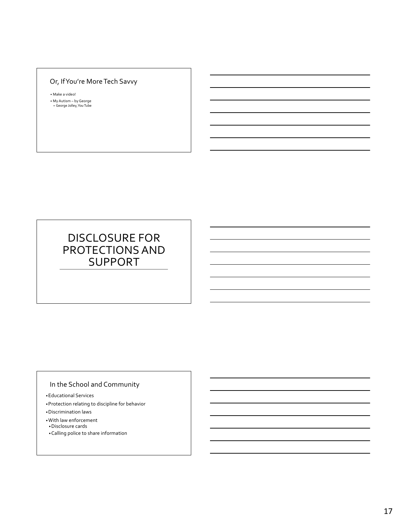## Or, If You're More Tech Savvy

• Make a video!

• My Autism – by George • George Jolley, You Tube

# DISCLOSURE FOR PROTECTIONS AND SUPPORT

### In the School and Community

•Educational Services

•Protection relating to discipline for behavior

- •Discrimination laws
- •With law enforcement
- •Disclosure cards
- •Calling police to share information